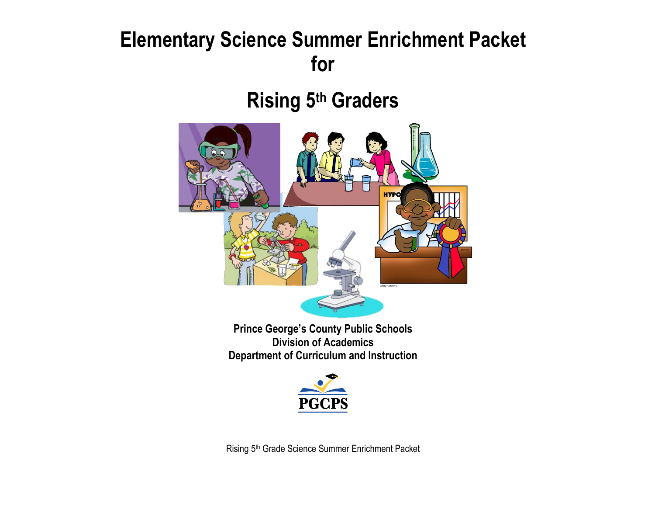# **Elementary Science Summer Enrichment Packet for**

**Rising 5 th Graders**



**Prince George's County Public Schools Division of Academics Department of Curriculum and Instruction**



Rising 5<sup>th</sup> Grade Science Summer Enrichment Packet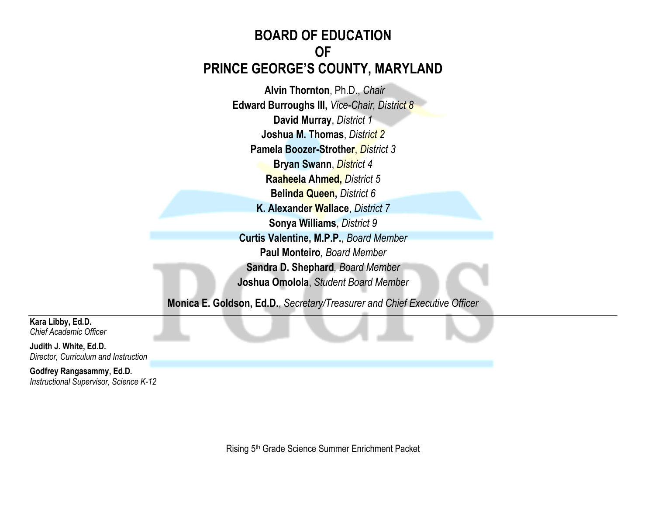#### **BOARD OF EDUCATION OF PRINCE GEORGE'S COUNTY, MARYLAND**

**Alvin Thornton**, Ph.D., *Chair* **Edward Burroughs III,** *Vice-Chair, District 8* **David Murray**, *District 1* **Joshua M. Thomas**, *District 2* **Pamela Boozer-Strother**, *District 3* **Bryan Swann**, *District 4* **Raaheela Ahmed,** *District 5* **Belinda Queen,** *District 6* **K. Alexander Wallace**, *District 7* **Sonya Williams**, *District 9* **Curtis Valentine, M.P.P.**, *Board Member* **Paul Monteiro***, Board Member* **Sandra D. Shephard***, Board Member* **Joshua Omolola**, *Student Board Member*

**Monica E. Goldson, Ed.D.**, *Secretary/Treasurer and Chief Executive Officer*

**Kara Libby, Ed.D.** *Chief Academic Officer*

**Judith J. White, Ed.D.** *Director, Curriculum and Instruction*

**Godfrey Rangasammy, Ed.D.** *Instructional Supervisor, Science K-12*

Rising 5th Grade Science Summer Enrichment Packet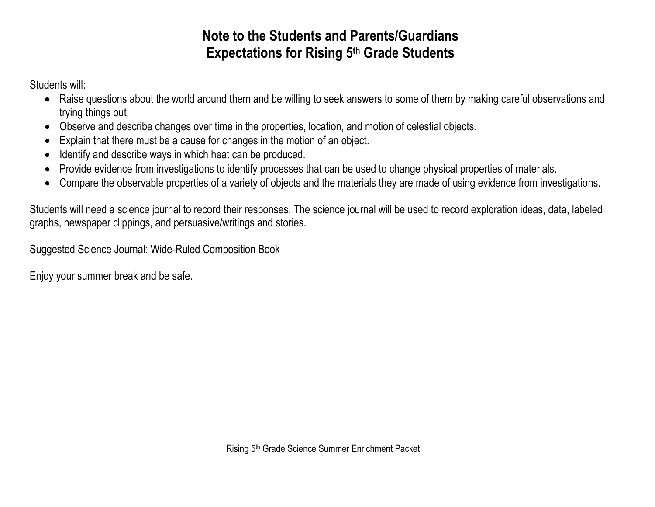#### **Note to the Students and Parents/Guardians Expectations for Rising 5 th Grade Students**

Students will:

- Raise questions about the world around them and be willing to seek answers to some of them by making careful observations and trying things out.
- Observe and describe changes over time in the properties, location, and motion of celestial objects.
- Explain that there must be a cause for changes in the motion of an object.
- Identify and describe ways in which heat can be produced.
- Provide evidence from investigations to identify processes that can be used to change physical properties of materials.
- Compare the observable properties of a variety of objects and the materials they are made of using evidence from investigations.

Students will need a science journal to record their responses. The science journal will be used to record exploration ideas, data, labeled graphs, newspaper clippings, and persuasive/writings and stories.

Suggested Science Journal: Wide-Ruled Composition Book

Enjoy your summer break and be safe.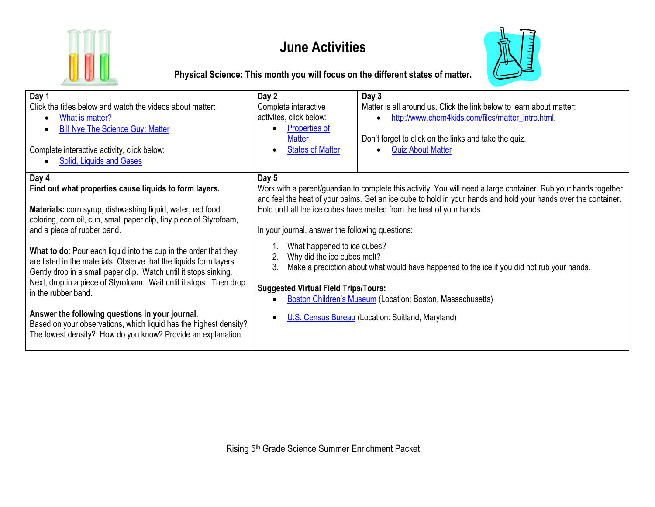

#### **June Activities**



**Physical Science: This month you will focus on the different states of matter.**

| Day 1<br>Click the titles below and watch the videos about matter:<br>What is matter?<br>٠<br><b>Bill Nye The Science Guy: Matter</b><br>$\bullet$<br>Complete interactive activity, click below:<br><b>Solid, Liquids and Gases</b>                                                                                                                                                                                                                                                                                                                                                                                                                                   | Day 2<br>Complete interactive<br>activites, click below:<br><b>Properties of</b><br><b>Matter</b><br><b>States of Matter</b>                                                                                                                                                                                                                                                                                                                                                                                                                                                                                                                                                                                             | Day 3<br>Matter is all around us. Click the link below to learn about matter:<br>http://www.chem4kids.com/files/matter_intro.html<br>Don't forget to click on the links and take the quiz.<br><b>Quiz About Matter</b> |  |
|------------------------------------------------------------------------------------------------------------------------------------------------------------------------------------------------------------------------------------------------------------------------------------------------------------------------------------------------------------------------------------------------------------------------------------------------------------------------------------------------------------------------------------------------------------------------------------------------------------------------------------------------------------------------|--------------------------------------------------------------------------------------------------------------------------------------------------------------------------------------------------------------------------------------------------------------------------------------------------------------------------------------------------------------------------------------------------------------------------------------------------------------------------------------------------------------------------------------------------------------------------------------------------------------------------------------------------------------------------------------------------------------------------|------------------------------------------------------------------------------------------------------------------------------------------------------------------------------------------------------------------------|--|
| Day 4<br>Find out what properties cause liquids to form layers.<br>Materials: corn syrup, dishwashing liquid, water, red food<br>coloring, corn oil, cup, small paper clip, tiny piece of Styrofoam,<br>and a piece of rubber band.<br>What to do: Pour each liquid into the cup in the order that they<br>are listed in the materials. Observe that the liquids form layers.<br>Gently drop in a small paper clip. Watch until it stops sinking.<br>Next, drop in a piece of Styrofoam. Wait until it stops. Then drop<br>in the rubber band.<br>Answer the following questions in your journal.<br>Based on your observations, which liquid has the highest density? | Day 5<br>Work with a parent/guardian to complete this activity. You will need a large container. Rub your hands together<br>and feel the heat of your palms. Get an ice cube to hold in your hands and hold your hands over the container.<br>Hold until all the ice cubes have melted from the heat of your hands.<br>In your journal, answer the following questions:<br>What happened to ice cubes?<br>Why did the ice cubes melt?<br>2.<br>3.<br>Make a prediction about what would have happened to the ice if you did not rub your hands.<br><b>Suggested Virtual Field Trips/Tours:</b><br><b>Boston Children's Museum (Location: Boston, Massachusetts)</b><br>U.S. Census Bureau (Location: Suitland, Maryland) |                                                                                                                                                                                                                        |  |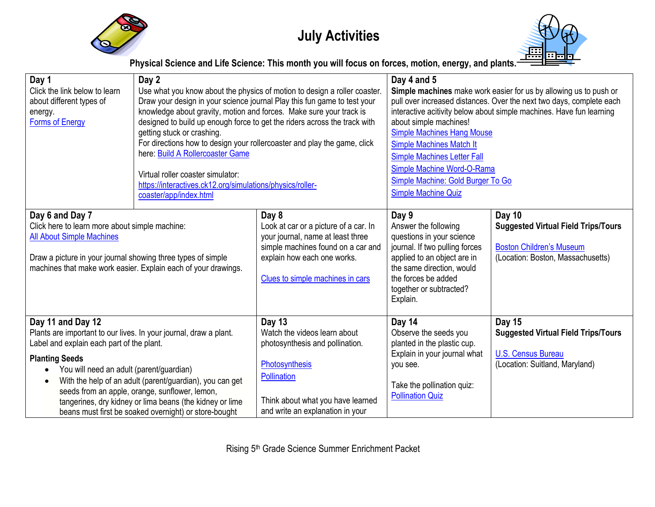

## **July Activities**



**Physical Science and Life Science: This month you will focus on forces, motion, energy, and plants.**

| Day 1<br>Click the link below to learn<br>about different types of<br>energy.<br><b>Forms of Energy</b>                                                                                                                            | Day 2<br>Use what you know about the physics of motion to design a roller coaster.<br>Draw your design in your science journal Play this fun game to test your<br>knowledge about gravity, motion and forces. Make sure your track is<br>designed to build up enough force to get the riders across the track with<br>getting stuck or crashing.<br>For directions how to design your rollercoaster and play the game, click<br>here: Build A Rollercoaster Game<br>Virtual roller coaster simulator:<br>https://interactives.ck12.org/simulations/physics/roller-<br>coaster/app/index.html |                                                                                                                                                                                              | Day 4 and 5<br>Simple machines make work easier for us by allowing us to push or<br>pull over increased distances. Over the next two days, complete each<br>interactive acitivity below about simple machines. Have fun learning<br>about simple machines!<br><b>Simple Machines Hang Mouse</b><br><b>Simple Machines Match It</b><br><b>Simple Machines Letter Fall</b><br>Simple Machine Word-O-Rama<br>Simple Machine: Gold Burger To Go<br><b>Simple Machine Quiz</b> |                                                                                                                              |
|------------------------------------------------------------------------------------------------------------------------------------------------------------------------------------------------------------------------------------|----------------------------------------------------------------------------------------------------------------------------------------------------------------------------------------------------------------------------------------------------------------------------------------------------------------------------------------------------------------------------------------------------------------------------------------------------------------------------------------------------------------------------------------------------------------------------------------------|----------------------------------------------------------------------------------------------------------------------------------------------------------------------------------------------|---------------------------------------------------------------------------------------------------------------------------------------------------------------------------------------------------------------------------------------------------------------------------------------------------------------------------------------------------------------------------------------------------------------------------------------------------------------------------|------------------------------------------------------------------------------------------------------------------------------|
| Day 6 and Day 7<br>Click here to learn more about simple machine:<br><b>All About Simple Machines</b><br>Draw a picture in your journal showing three types of simple                                                              | machines that make work easier. Explain each of your drawings.                                                                                                                                                                                                                                                                                                                                                                                                                                                                                                                               | Day 8<br>Look at car or a picture of a car. In<br>your journal, name at least three<br>simple machines found on a car and<br>explain how each one works.<br>Clues to simple machines in cars | Day 9<br>Answer the following<br>questions in your science<br>journal. If two pulling forces<br>applied to an object are in<br>the same direction, would<br>the forces be added<br>together or subtracted?<br>Explain.                                                                                                                                                                                                                                                    | Day 10<br><b>Suggested Virtual Field Trips/Tours</b><br><b>Boston Children's Museum</b><br>(Location: Boston, Massachusetts) |
| Day 11 and Day 12<br>Plants are important to our lives. In your journal, draw a plant.<br>Label and explain each part of the plant.<br><b>Planting Seeds</b><br>You will need an adult (parent/guardian)<br>$\bullet$<br>$\bullet$ | With the help of an adult (parent/guardian), you can get<br>seeds from an apple, orange, sunflower, lemon,<br>tangerines, dry kidney or lima beans (the kidney or lime<br>beans must first be soaked overnight) or store-bought                                                                                                                                                                                                                                                                                                                                                              | Day 13<br>Watch the videos learn about<br>photosynthesis and pollination.<br>Photosynthesis<br>Pollination<br>Think about what you have learned<br>and write an explanation in your          | Day 14<br>Observe the seeds you<br>planted in the plastic cup.<br>Explain in your journal what<br>you see.<br>Take the pollination quiz:<br><b>Pollination Quiz</b>                                                                                                                                                                                                                                                                                                       | <b>Day 15</b><br><b>Suggested Virtual Field Trips/Tours</b><br><b>U.S. Census Bureau</b><br>(Location: Suitland, Maryland)   |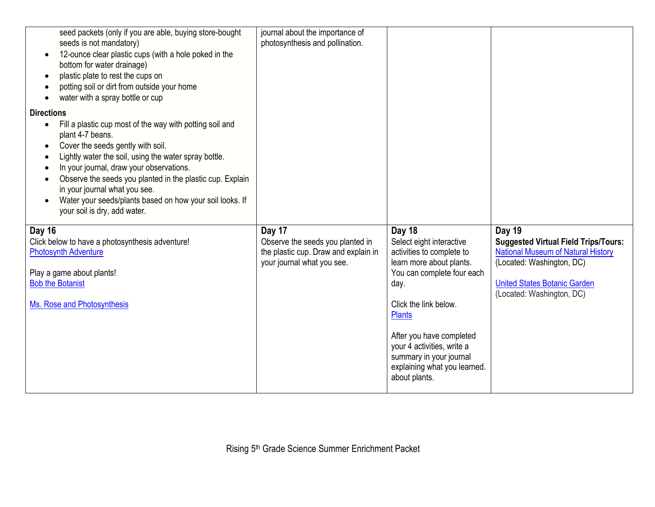| seed packets (only if you are able, buying store-bought<br>seeds is not mandatory)<br>12-ounce clear plastic cups (with a hole poked in the<br>bottom for water drainage)<br>plastic plate to rest the cups on<br>potting soil or dirt from outside your home<br>water with a spray bottle or cup                                                                                                                                                                         | journal about the importance of<br>photosynthesis and pollination.                                     |                                                                                                                                                                                                                                                                                                         |                                                                                                                                                                                           |
|---------------------------------------------------------------------------------------------------------------------------------------------------------------------------------------------------------------------------------------------------------------------------------------------------------------------------------------------------------------------------------------------------------------------------------------------------------------------------|--------------------------------------------------------------------------------------------------------|---------------------------------------------------------------------------------------------------------------------------------------------------------------------------------------------------------------------------------------------------------------------------------------------------------|-------------------------------------------------------------------------------------------------------------------------------------------------------------------------------------------|
| <b>Directions</b><br>Fill a plastic cup most of the way with potting soil and<br>$\bullet$<br>plant 4-7 beans.<br>Cover the seeds gently with soil.<br>Lightly water the soil, using the water spray bottle.<br>In your journal, draw your observations.<br>Observe the seeds you planted in the plastic cup. Explain<br>in your journal what you see.<br>Water your seeds/plants based on how your soil looks. If<br>$\bullet$<br>your soil is dry, add water.<br>Day 16 | Day 17                                                                                                 | Day 18                                                                                                                                                                                                                                                                                                  | <b>Day 19</b>                                                                                                                                                                             |
| Click below to have a photosynthesis adventure!<br><b>Photosynth Adventure</b><br>Play a game about plants!<br><b>Bob the Botanist</b><br>Ms. Rose and Photosynthesis                                                                                                                                                                                                                                                                                                     | Observe the seeds you planted in<br>the plastic cup. Draw and explain in<br>your journal what you see. | Select eight interactive<br>activities to complete to<br>learn more about plants.<br>You can complete four each<br>day.<br>Click the link below.<br><b>Plants</b><br>After you have completed<br>your 4 activities, write a<br>summary in your journal<br>explaining what you learned.<br>about plants. | <b>Suggested Virtual Field Trips/Tours:</b><br><b>National Museum of Natural History</b><br>(Located: Washington, DC)<br><b>United States Botanic Garden</b><br>(Located: Washington, DC) |